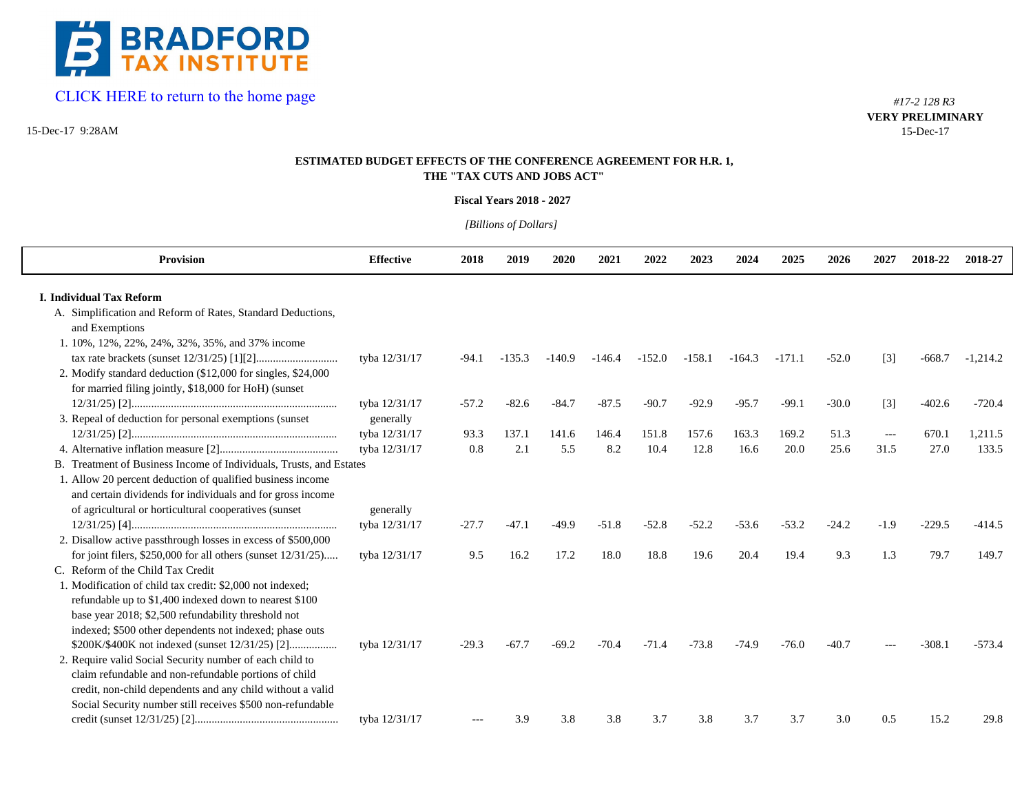

# [CLICK HERE to return to the home page](www.bradfordtaxinstitute.com)

15-Dec-17 9:28AM

*#17-2 128 R3* **VERY PRELIMINARY**15-Dec-17

# **ESTIMATED BUDGET EFFECTS OF THE CONFERENCE AGREEMENT FOR H.R. 1, THE "TAX CUTS AND JOBS ACT"**

## **Fiscal Years 2018 - 2027**

*[Billions of Dollars]* 

| <b>Provision</b>                                                                                                         | <b>Effective</b> | 2018    | 2019     | 2020     | 2021     | 2022     | 2023     | 2024     | 2025     | 2026    | 2027                | 2018-22  | 2018-27    |
|--------------------------------------------------------------------------------------------------------------------------|------------------|---------|----------|----------|----------|----------|----------|----------|----------|---------|---------------------|----------|------------|
| <b>I. Individual Tax Reform</b>                                                                                          |                  |         |          |          |          |          |          |          |          |         |                     |          |            |
| A. Simplification and Reform of Rates, Standard Deductions,<br>and Exemptions                                            |                  |         |          |          |          |          |          |          |          |         |                     |          |            |
| 1. 10%, 12%, 22%, 24%, 32%, 35%, and 37% income                                                                          |                  |         |          |          |          |          |          |          |          |         |                     |          |            |
|                                                                                                                          | tyba 12/31/17    | $-94.1$ | $-135.3$ | $-140.9$ | $-146.4$ | $-152.0$ | $-158.1$ | $-164.3$ | $-171.1$ | $-52.0$ | $[3]$               | $-668.7$ | $-1,214.2$ |
| 2. Modify standard deduction (\$12,000 for singles, \$24,000<br>for married filing jointly, \$18,000 for HoH) (sunset    |                  |         |          |          |          |          |          |          |          |         |                     |          |            |
|                                                                                                                          | tyba 12/31/17    | $-57.2$ | $-82.6$  | $-84.7$  | $-87.5$  | $-90.7$  | $-92.9$  | $-95.7$  | $-99.1$  | $-30.0$ | $[3]$               | $-402.6$ | $-720.4$   |
| 3. Repeal of deduction for personal exemptions (sunset                                                                   | generally        |         |          |          |          |          |          |          |          |         |                     |          |            |
|                                                                                                                          | tyba 12/31/17    | 93.3    | 137.1    | 141.6    | 146.4    | 151.8    | 157.6    | 163.3    | 169.2    | 51.3    | $\qquad \qquad - -$ | 670.1    | 1,211.5    |
|                                                                                                                          | tyba 12/31/17    | 0.8     | 2.1      | 5.5      | 8.2      | 10.4     | 12.8     | 16.6     | 20.0     | 25.6    | 31.5                | 27.0     | 133.5      |
| B. Treatment of Business Income of Individuals, Trusts, and Estates                                                      |                  |         |          |          |          |          |          |          |          |         |                     |          |            |
| 1. Allow 20 percent deduction of qualified business income<br>and certain dividends for individuals and for gross income |                  |         |          |          |          |          |          |          |          |         |                     |          |            |
| of agricultural or horticultural cooperatives (sunset)                                                                   | generally        |         |          |          |          |          |          |          |          |         |                     |          |            |
|                                                                                                                          | tyba 12/31/17    | $-27.7$ | $-47.1$  | $-49.9$  | $-51.8$  | $-52.8$  | $-52.2$  | $-53.6$  | $-53.2$  | $-24.2$ | $-1.9$              | $-229.5$ | $-414.5$   |
| 2. Disallow active passthrough losses in excess of \$500,000                                                             |                  |         |          |          |          |          |          |          |          |         |                     |          |            |
| for joint filers, $$250,000$ for all others (sunset $12/31/25$ )                                                         | tyba 12/31/17    | 9.5     | 16.2     | 17.2     | 18.0     | 18.8     | 19.6     | 20.4     | 19.4     | 9.3     | 1.3                 | 79.7     | 149.7      |
| C. Reform of the Child Tax Credit                                                                                        |                  |         |          |          |          |          |          |          |          |         |                     |          |            |
| 1. Modification of child tax credit: \$2,000 not indexed;                                                                |                  |         |          |          |          |          |          |          |          |         |                     |          |            |
| refundable up to \$1,400 indexed down to nearest \$100                                                                   |                  |         |          |          |          |          |          |          |          |         |                     |          |            |
| base year 2018; \$2,500 refundability threshold not                                                                      |                  |         |          |          |          |          |          |          |          |         |                     |          |            |
| indexed; \$500 other dependents not indexed; phase outs                                                                  |                  |         |          |          |          |          |          |          |          |         |                     |          |            |
| \$200K/\$400K not indexed (sunset 12/31/25) [2]                                                                          | tyba 12/31/17    | $-29.3$ | $-67.7$  | $-69.2$  | $-70.4$  | $-71.4$  | $-73.8$  | $-74.9$  | $-76.0$  | $-40.7$ |                     | $-308.1$ | $-573.4$   |
| 2. Require valid Social Security number of each child to                                                                 |                  |         |          |          |          |          |          |          |          |         |                     |          |            |
| claim refundable and non-refundable portions of child                                                                    |                  |         |          |          |          |          |          |          |          |         |                     |          |            |
| credit, non-child dependents and any child without a valid                                                               |                  |         |          |          |          |          |          |          |          |         |                     |          |            |
| Social Security number still receives \$500 non-refundable                                                               |                  |         |          |          |          |          |          |          |          |         |                     |          |            |
|                                                                                                                          | tyba 12/31/17    |         | 3.9      | 3.8      | 3.8      | 3.7      | 3.8      | 3.7      | 3.7      | 3.0     | 0.5                 | 15.2     | 29.8       |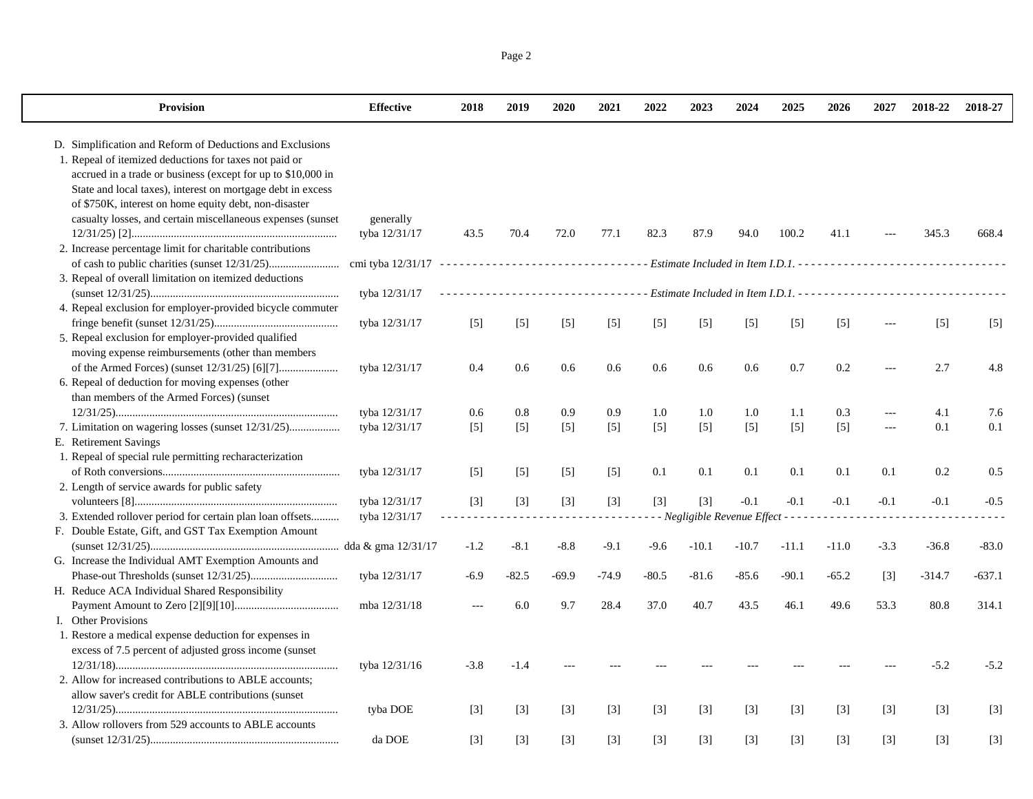| Provision                                                                                                                                                                                                                                                                                                                                                                                                                               | <b>Effective</b>           | 2018              | 2019              | 2020              | 2021              | 2022              | 2023              | 2024                                  | 2025    | 2026              | 2027              | 2018-22           | 2018-27  |
|-----------------------------------------------------------------------------------------------------------------------------------------------------------------------------------------------------------------------------------------------------------------------------------------------------------------------------------------------------------------------------------------------------------------------------------------|----------------------------|-------------------|-------------------|-------------------|-------------------|-------------------|-------------------|---------------------------------------|---------|-------------------|-------------------|-------------------|----------|
| D. Simplification and Reform of Deductions and Exclusions<br>1. Repeal of itemized deductions for taxes not paid or<br>accrued in a trade or business (except for up to \$10,000 in<br>State and local taxes), interest on mortgage debt in excess<br>of \$750K, interest on home equity debt, non-disaster<br>casualty losses, and certain miscellaneous expenses (sunset<br>2. Increase percentage limit for charitable contributions | generally<br>tyba 12/31/17 | 43.5              | 70.4              | 72.0              | 77.1              | 82.3              | 87.9              | 94.0                                  | 100.2   | 41.1              |                   | 345.3             | 668.4    |
|                                                                                                                                                                                                                                                                                                                                                                                                                                         |                            |                   |                   |                   |                   |                   |                   |                                       |         |                   |                   |                   |          |
| 3. Repeal of overall limitation on itemized deductions                                                                                                                                                                                                                                                                                                                                                                                  | tyba 12/31/17              |                   |                   |                   | .                 |                   |                   |                                       |         |                   |                   |                   |          |
| 4. Repeal exclusion for employer-provided bicycle commuter                                                                                                                                                                                                                                                                                                                                                                              |                            |                   |                   |                   |                   |                   |                   |                                       |         |                   |                   |                   |          |
|                                                                                                                                                                                                                                                                                                                                                                                                                                         | tyba 12/31/17              | $[5]$             | $[5]$             | $[5]$             | $[5]$             | $[5]$             | $[5]$             | $[5]$                                 | $[5]$   | $\lceil 5 \rceil$ |                   | $\lceil 5 \rceil$ | $[5]$    |
| 5. Repeal exclusion for employer-provided qualified                                                                                                                                                                                                                                                                                                                                                                                     |                            |                   |                   |                   |                   |                   |                   |                                       |         |                   |                   |                   |          |
| moving expense reimbursements (other than members<br>6. Repeal of deduction for moving expenses (other                                                                                                                                                                                                                                                                                                                                  | tyba 12/31/17              | 0.4               | 0.6               | 0.6               | 0.6               | 0.6               | 0.6               | 0.6                                   | 0.7     | 0.2               |                   | 2.7               | 4.8      |
| than members of the Armed Forces) (sunset                                                                                                                                                                                                                                                                                                                                                                                               |                            |                   |                   |                   |                   |                   |                   |                                       |         |                   |                   |                   |          |
|                                                                                                                                                                                                                                                                                                                                                                                                                                         | tyba 12/31/17              | 0.6               | 0.8               | 0.9               | 0.9               | 1.0               | 1.0               | 1.0                                   | 1.1     | 0.3               | ---               | 4.1               | 7.6      |
| 7. Limitation on wagering losses (sunset 12/31/25)<br>E. Retirement Savings                                                                                                                                                                                                                                                                                                                                                             | tyba 12/31/17              | $[5]$             | $[5]$             | $[5]$             | $[5]$             | $[5]$             | $[5]$             | $[5]$                                 | $[5]$   | $[5]$             | $-$ --            | 0.1               | 0.1      |
| 1. Repeal of special rule permitting recharacterization                                                                                                                                                                                                                                                                                                                                                                                 |                            |                   |                   |                   |                   |                   |                   |                                       |         |                   |                   |                   |          |
|                                                                                                                                                                                                                                                                                                                                                                                                                                         | tyba 12/31/17              | $\lceil 5 \rceil$ | $\lceil 5 \rceil$ | $\lceil 5 \rceil$ | $\lceil 5 \rceil$ | 0.1               | 0.1               | 0.1                                   | 0.1     | 0.1               | 0.1               | 0.2               | 0.5      |
| 2. Length of service awards for public safety                                                                                                                                                                                                                                                                                                                                                                                           | tyba 12/31/17              | $\lceil 3 \rceil$ | $[3]$             | $[3]$             | $[3]$             | $\lceil 3 \rceil$ | $\lceil 3 \rceil$ | $-0.1$                                | $-0.1$  | $-0.1$            | $-0.1$            | $-0.1$            | $-0.5$   |
| 3. Extended rollover period for certain plan loan offsets                                                                                                                                                                                                                                                                                                                                                                               | tyba 12/31/17              |                   |                   |                   |                   |                   |                   | - - Negligible Revenue Effect - - - - |         |                   |                   |                   |          |
| F. Double Estate, Gift, and GST Tax Exemption Amount                                                                                                                                                                                                                                                                                                                                                                                    |                            |                   |                   |                   |                   |                   |                   |                                       |         |                   |                   |                   |          |
|                                                                                                                                                                                                                                                                                                                                                                                                                                         |                            | $-1.2$            | $-8.1$            | $-8.8$            | $-9.1$            | $-9.6$            | $-10.1$           | $-10.7$                               | $-11.1$ | $-11.0$           | $-3.3$            | $-36.8$           | $-83.0$  |
| G. Increase the Individual AMT Exemption Amounts and                                                                                                                                                                                                                                                                                                                                                                                    |                            |                   |                   |                   |                   |                   |                   |                                       |         |                   |                   |                   |          |
|                                                                                                                                                                                                                                                                                                                                                                                                                                         | tyba 12/31/17              | -6.9              | $-82.5$           | $-69.9$           | $-74.9$           | $-80.5$           | $-81.6$           | $-85.6$                               | $-90.1$ | $-65.2$           | $\lceil 3 \rceil$ | $-314.7$          | $-637.1$ |
| H. Reduce ACA Individual Shared Responsibility                                                                                                                                                                                                                                                                                                                                                                                          |                            |                   |                   |                   |                   |                   |                   |                                       |         |                   |                   |                   |          |
|                                                                                                                                                                                                                                                                                                                                                                                                                                         | mba 12/31/18               | $\overline{a}$    | 6.0               | 9.7               | 28.4              | 37.0              | 40.7              | 43.5                                  | 46.1    | 49.6              | 53.3              | 80.8              | 314.1    |
| I. Other Provisions                                                                                                                                                                                                                                                                                                                                                                                                                     |                            |                   |                   |                   |                   |                   |                   |                                       |         |                   |                   |                   |          |
| 1. Restore a medical expense deduction for expenses in<br>excess of 7.5 percent of adjusted gross income (sunset                                                                                                                                                                                                                                                                                                                        |                            |                   |                   |                   |                   |                   |                   |                                       |         |                   |                   |                   |          |
|                                                                                                                                                                                                                                                                                                                                                                                                                                         | tyba 12/31/16              | $-3.8$            | $-1.4$            |                   |                   |                   |                   |                                       |         |                   |                   | $-5.2$            | $-5.2$   |
| 2. Allow for increased contributions to ABLE accounts;                                                                                                                                                                                                                                                                                                                                                                                  |                            |                   |                   |                   |                   |                   |                   |                                       |         |                   |                   |                   |          |
| allow saver's credit for ABLE contributions (sunset                                                                                                                                                                                                                                                                                                                                                                                     |                            |                   |                   |                   |                   |                   |                   |                                       |         |                   |                   |                   |          |
|                                                                                                                                                                                                                                                                                                                                                                                                                                         | tyba DOE                   | $[3]$             | $[3]$             | $[3]$             | $[3]$             | $\lceil 3 \rceil$ | $[3]$             | $[3]$                                 | $[3]$   | $[3]$             | $\lceil 3 \rceil$ | $[3]$             | $[3]$    |
| 3. Allow rollovers from 529 accounts to ABLE accounts                                                                                                                                                                                                                                                                                                                                                                                   |                            |                   |                   |                   |                   |                   |                   |                                       |         |                   |                   |                   |          |
|                                                                                                                                                                                                                                                                                                                                                                                                                                         | da DOE                     | $[3]$             | $[3]$             | $[3]$             | $[3]$             | $[3]$             | $[3]$             | $[3]$                                 | $[3]$   | $[3]$             | $[3]$             | [3]               | $[3]$    |

Page 2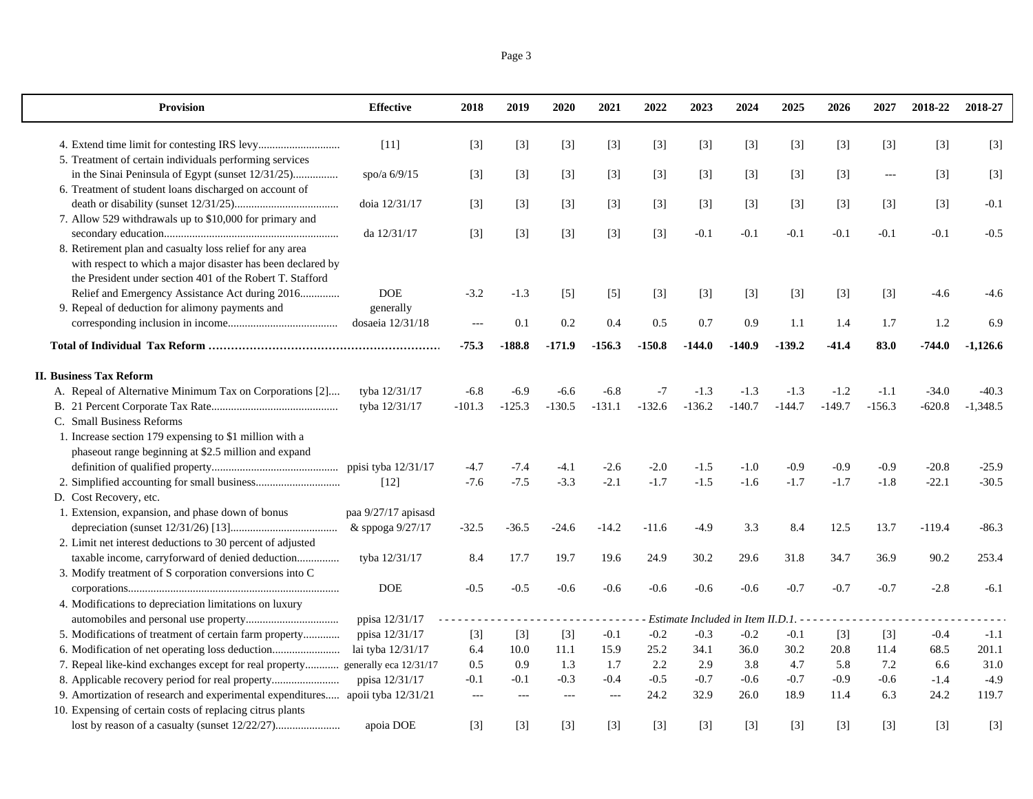$\perp$ 

| <b>Provision</b>                                                              | <b>Effective</b>    | 2018           | 2019     | 2020           | 2021          | 2022     | 2023                              | 2024     | 2025     | 2026     | 2027     | 2018-22  | 2018-27    |
|-------------------------------------------------------------------------------|---------------------|----------------|----------|----------------|---------------|----------|-----------------------------------|----------|----------|----------|----------|----------|------------|
|                                                                               | $[11]$              | $[3]$          | $[3]$    | $[3]$          | $[3]$         | $[3]$    | $[3]$                             | $[3]$    | $[3]$    | $[3]$    | $[3]$    | $[3]$    | $[3]$      |
| 5. Treatment of certain individuals performing services                       |                     |                |          |                |               |          |                                   |          |          |          |          |          |            |
| in the Sinai Peninsula of Egypt (sunset 12/31/25)                             | spo/a $6/9/15$      | $[3]$          | $[3]$    | $[3]$          | $[3]$         | $[3]$    | $[3]$                             | $[3]$    | $[3]$    | $[3]$    | $\cdots$ | $[3]$    | $[3]$      |
| 6. Treatment of student loans discharged on account of                        |                     |                |          |                |               |          |                                   |          |          |          |          |          |            |
|                                                                               | doia 12/31/17       | $[3]$          | $[3]$    | $[3]$          | $[3]$         | $[3]$    | $[3]$                             | $[3]$    | $[3]$    | $[3]$    | $[3]$    | $[3]$    | $-0.1$     |
| 7. Allow 529 withdrawals up to \$10,000 for primary and                       |                     |                |          |                |               |          |                                   |          |          |          |          |          |            |
|                                                                               | da 12/31/17         | $[3]$          | $[3]$    | $[3]$          | $[3]$         | $[3]$    | $-0.1$                            | $-0.1$   | $-0.1$   | $-0.1$   | $-0.1$   | $-0.1$   | $-0.5$     |
| 8. Retirement plan and casualty loss relief for any area                      |                     |                |          |                |               |          |                                   |          |          |          |          |          |            |
| with respect to which a major disaster has been declared by                   |                     |                |          |                |               |          |                                   |          |          |          |          |          |            |
| the President under section 401 of the Robert T. Stafford                     |                     |                |          |                |               |          |                                   |          |          |          |          |          |            |
| Relief and Emergency Assistance Act during 2016                               | <b>DOE</b>          | $-3.2$         | $-1.3$   | $[5]$          | $[5]$         | $[3]$    | $[3]$                             | $[3]$    | $[3]$    | $[3]$    | $[3]$    | $-4.6$   | $-4.6$     |
| 9. Repeal of deduction for alimony payments and                               | generally           |                |          |                |               |          |                                   |          |          |          |          |          |            |
|                                                                               | dosaeia 12/31/18    |                | 0.1      | 0.2            | 0.4           | 0.5      | 0.7                               | 0.9      | 1.1      | 1.4      | 1.7      | 1.2      | 6.9        |
|                                                                               |                     | $-75.3$        | $-188.8$ | $-171.9$       | $-156.3$      | $-150.8$ | $-144.0$                          | $-140.9$ | $-139.2$ | $-41.4$  | 83.0     | -744.0   | $-1,126.6$ |
| <b>II. Business Tax Reform</b>                                                |                     |                |          |                |               |          |                                   |          |          |          |          |          |            |
| A. Repeal of Alternative Minimum Tax on Corporations [2]                      | tyba 12/31/17       | $-6.8$         | $-6.9$   | $-6.6$         | $-6.8$        | $-7$     | $-1.3$                            | $-1.3$   | $-1.3$   | $-1.2$   | $-1.1$   | $-34.0$  | $-40.3$    |
|                                                                               | tyba 12/31/17       | $-101.3$       | $-125.3$ | $-130.5$       | $-131.1$      | $-132.6$ | $-136.2$                          | $-140.7$ | $-144.7$ | $-149.7$ | $-156.3$ | $-620.8$ | $-1,348.5$ |
| C. Small Business Reforms                                                     |                     |                |          |                |               |          |                                   |          |          |          |          |          |            |
| 1. Increase section 179 expensing to \$1 million with a                       |                     |                |          |                |               |          |                                   |          |          |          |          |          |            |
| phaseout range beginning at \$2.5 million and expand                          |                     |                |          |                |               |          |                                   |          |          |          |          |          |            |
|                                                                               |                     | $-4.7$         | $-7.4$   | $-4.1$         | $-2.6$        | $-2.0$   | $-1.5$                            | $-1.0$   | $-0.9$   | $-0.9$   | $-0.9$   | $-20.8$  | $-25.9$    |
|                                                                               | $[12]$              | $-7.6$         | $-7.5$   | $-3.3$         | $-2.1$        | $-1.7$   | $-1.5$                            | $-1.6$   | $-1.7$   | $-1.7$   | $-1.8$   | $-22.1$  | $-30.5$    |
| D. Cost Recovery, etc.                                                        |                     |                |          |                |               |          |                                   |          |          |          |          |          |            |
| 1. Extension, expansion, and phase down of bonus                              | paa 9/27/17 apisasd |                |          |                |               |          |                                   |          |          |          |          |          |            |
|                                                                               | & sppoga 9/27/17    | $-32.5$        | $-36.5$  | $-24.6$        | $-14.2$       | $-11.6$  | $-4.9$                            | 3.3      | 8.4      | 12.5     | 13.7     | $-119.4$ | $-86.3$    |
| 2. Limit net interest deductions to 30 percent of adjusted                    |                     |                |          |                |               |          |                                   |          |          |          |          |          |            |
| taxable income, carryforward of denied deduction                              | tyba 12/31/17       | 8.4            | 17.7     | 19.7           | 19.6          | 24.9     | 30.2                              | 29.6     | 31.8     | 34.7     | 36.9     | 90.2     | 253.4      |
| 3. Modify treatment of S corporation conversions into C                       |                     |                |          |                |               |          |                                   |          |          |          |          |          |            |
|                                                                               | <b>DOE</b>          | $-0.5$         | $-0.5$   | $-0.6$         | $-0.6$        | $-0.6$   | $-0.6$                            | $-0.6$   | $-0.7$   | $-0.7$   | $-0.7$   | $-2.8$   | $-6.1$     |
| 4. Modifications to depreciation limitations on luxury                        |                     |                |          |                |               |          |                                   |          |          |          |          |          |            |
|                                                                               | ppisa 12/31/17      |                |          |                |               |          | Estimate Included in Item II.D.1. |          |          |          |          |          |            |
| 5. Modifications of treatment of certain farm property                        | ppisa 12/31/17      | $[3]$          | $[3]$    | $[3]$          | $-0.1$        | $-0.2$   | $-0.3$                            | $-0.2$   | $-0.1$   | $[3]$    | $[3]$    | $-0.4$   | $-1.1$     |
| 6. Modification of net operating loss deduction                               | lai tyba 12/31/17   | 6.4            | 10.0     | 11.1           | 15.9          | 25.2     | 34.1                              | 36.0     | 30.2     | 20.8     | 11.4     | 68.5     | 201.1      |
| 7. Repeal like-kind exchanges except for real property generally eca 12/31/17 |                     | 0.5            | 0.9      | 1.3            | 1.7           | 2.2      | 2.9                               | 3.8      | 4.7      | 5.8      | $7.2\,$  | 6.6      | 31.0       |
| 8. Applicable recovery period for real property                               | ppisa 12/31/17      | $-0.1$         | $-0.1$   | $-0.3$         | $-0.4$        | $-0.5$   | $-0.7$                            | $-0.6$   | $-0.7$   | $-0.9$   | $-0.6$   | $-1.4$   | $-4.9$     |
| 9. Amortization of research and experimental expenditures                     | apoii tyba 12/31/21 | $\overline{a}$ | $---$    | $\overline{a}$ | $\sim$ $\sim$ | 24.2     | 32.9                              | 26.0     | 18.9     | 11.4     | 6.3      | 24.2     | 119.7      |
| 10. Expensing of certain costs of replacing citrus plants                     |                     |                |          |                |               |          |                                   |          |          |          |          |          |            |
|                                                                               | apoia DOE           | $[3]$          | $[3]$    | $[3]$          | $[3]$         | $[3]$    | $[3]$                             | $[3]$    | $[3]$    | $[3]$    | $[3]$    | $[3]$    | $[3]$      |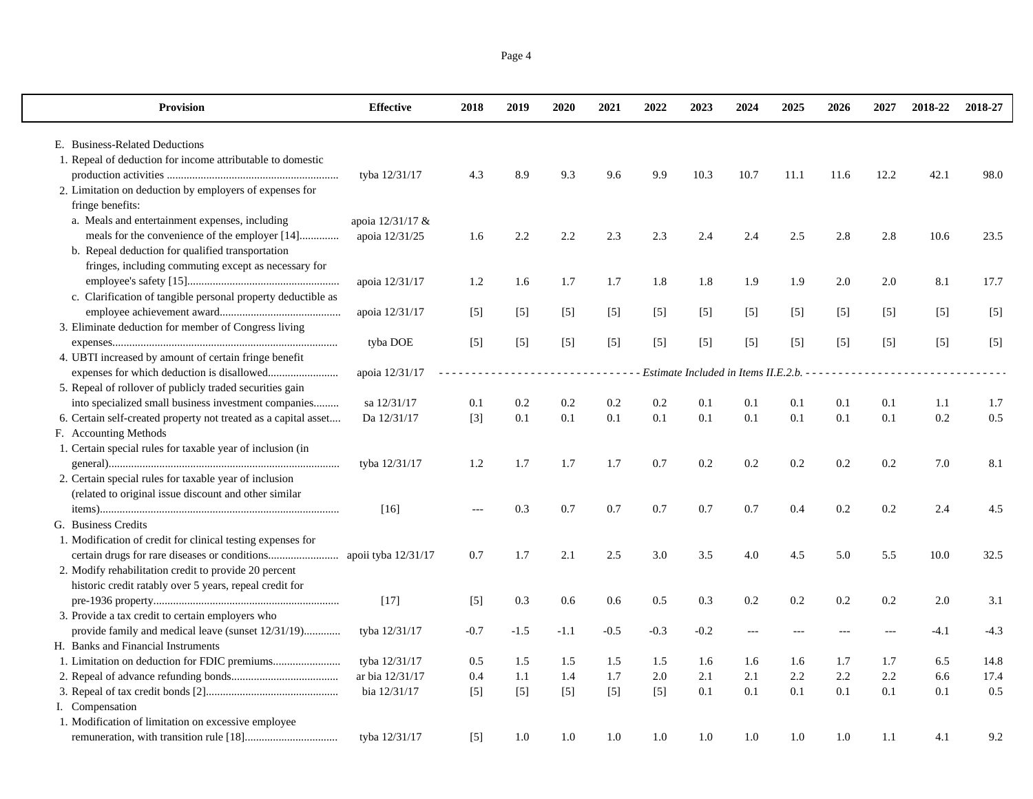|--|--|

 $\mathbf{I}$ 

| Provision                                                       | <b>Effective</b>      | 2018   | 2019              | 2020   | 2021   | 2022   | 2023   | 2024                                 | 2025  | 2026              | 2027  | 2018-22 | 2018-27 |
|-----------------------------------------------------------------|-----------------------|--------|-------------------|--------|--------|--------|--------|--------------------------------------|-------|-------------------|-------|---------|---------|
| E. Business-Related Deductions                                  |                       |        |                   |        |        |        |        |                                      |       |                   |       |         |         |
| 1. Repeal of deduction for income attributable to domestic      |                       |        |                   |        |        |        |        |                                      |       |                   |       |         |         |
|                                                                 | tyba 12/31/17         | 4.3    | 8.9               | 9.3    | 9.6    | 9.9    | 10.3   | 10.7                                 | 11.1  | 11.6              | 12.2  | 42.1    | 98.0    |
| 2. Limitation on deduction by employers of expenses for         |                       |        |                   |        |        |        |        |                                      |       |                   |       |         |         |
| fringe benefits:                                                |                       |        |                   |        |        |        |        |                                      |       |                   |       |         |         |
| a. Meals and entertainment expenses, including                  | apoia 12/31/17 &      |        |                   |        |        |        |        |                                      |       |                   |       |         |         |
| meals for the convenience of the employer [14]                  | apoia 12/31/25        | 1.6    | 2.2               | 2.2    | 2.3    | 2.3    | 2.4    | 2.4                                  | 2.5   | 2.8               | 2.8   | 10.6    | 23.5    |
| b. Repeal deduction for qualified transportation                |                       |        |                   |        |        |        |        |                                      |       |                   |       |         |         |
| fringes, including commuting except as necessary for            |                       |        |                   |        |        |        |        |                                      |       |                   |       |         |         |
|                                                                 | apoia 12/31/17        | 1.2    | 1.6               | 1.7    | 1.7    | 1.8    | 1.8    | 1.9                                  | 1.9   | 2.0               | 2.0   | 8.1     | 17.7    |
| c. Clarification of tangible personal property deductible as    |                       |        |                   |        |        |        |        |                                      |       |                   |       |         |         |
|                                                                 | apoia 12/31/17        | $[5]$  | $\lceil 5 \rceil$ | $[5]$  | $[5]$  | $[5]$  | $[5]$  | $[5]$                                | $[5]$ | $\lceil 5 \rceil$ | $[5]$ | $[5]$   | $[5]$   |
| 3. Eliminate deduction for member of Congress living            |                       |        |                   |        |        |        |        |                                      |       |                   |       |         |         |
|                                                                 | tyba DOE              | $[5]$  | [5]               | $[5]$  | $[5]$  | $[5]$  | $[5]$  | $[5]$                                | $[5]$ | [5]               | $[5]$ | $[5]$   | $[5]$   |
| 4. UBTI increased by amount of certain fringe benefit           |                       |        |                   |        |        |        |        |                                      |       |                   |       |         |         |
|                                                                 | apoia 12/31/17        |        |                   |        | .      |        |        | Estimate Included in Items II.E.2.b. |       |                   |       |         |         |
| 5. Repeal of rollover of publicly traded securities gain        |                       |        |                   |        |        |        |        |                                      |       |                   |       |         |         |
| into specialized small business investment companies            | sa 12/31/17           | 0.1    | 0.2               | 0.2    | 0.2    | 0.2    | 0.1    | 0.1                                  | 0.1   | 0.1               | 0.1   | 1.1     | 1.7     |
| 6. Certain self-created property not treated as a capital asset | Da 12/31/17           | $[3]$  | 0.1               | 0.1    | 0.1    | 0.1    | 0.1    | 0.1                                  | 0.1   | 0.1               | 0.1   | 0.2     | 0.5     |
| F. Accounting Methods                                           |                       |        |                   |        |        |        |        |                                      |       |                   |       |         |         |
| 1. Certain special rules for taxable year of inclusion (in      |                       |        |                   |        |        |        |        |                                      |       |                   |       |         |         |
|                                                                 | tyba 12/31/17         | 1.2    | 1.7               | 1.7    | 1.7    | 0.7    | 0.2    | 0.2                                  | 0.2   | 0.2               | 0.2   | 7.0     | 8.1     |
| 2. Certain special rules for taxable year of inclusion          |                       |        |                   |        |        |        |        |                                      |       |                   |       |         |         |
| (related to original issue discount and other similar           |                       |        |                   |        |        |        |        |                                      |       |                   |       |         |         |
|                                                                 | $[16]$                | $-$    | 0.3               | 0.7    | 0.7    | 0.7    | 0.7    | 0.7                                  | 0.4   | 0.2               | 0.2   | 2.4     | 4.5     |
| G. Business Credits                                             |                       |        |                   |        |        |        |        |                                      |       |                   |       |         |         |
| 1. Modification of credit for clinical testing expenses for     |                       |        |                   |        |        |        |        |                                      |       |                   |       |         |         |
|                                                                 | apoii tyba $12/31/17$ | 0.7    | 1.7               | 2.1    | 2.5    | 3.0    | 3.5    | 4.0                                  | 4.5   | 5.0               | 5.5   | 10.0    | 32.5    |
| 2. Modify rehabilitation credit to provide 20 percent           |                       |        |                   |        |        |        |        |                                      |       |                   |       |         |         |
| historic credit ratably over 5 years, repeal credit for         |                       |        |                   |        |        |        |        |                                      |       |                   |       |         |         |
|                                                                 | $[17]$                | $[5]$  | 0.3               | 0.6    | 0.6    | 0.5    | 0.3    | 0.2                                  | 0.2   | 0.2               | 0.2   | 2.0     | 3.1     |
| 3. Provide a tax credit to certain employers who                |                       |        |                   |        |        |        |        |                                      |       |                   |       |         |         |
| provide family and medical leave (sunset 12/31/19)              | tyba 12/31/17         | $-0.7$ | $-1.5$            | $-1.1$ | $-0.5$ | $-0.3$ | $-0.2$ |                                      |       |                   |       | $-4.1$  | $-4.3$  |
| H. Banks and Financial Instruments                              |                       |        |                   |        |        |        |        |                                      |       |                   |       |         |         |
|                                                                 | tyba 12/31/17         | 0.5    | 1.5               | 1.5    | 1.5    | 1.5    | 1.6    | 1.6                                  | 1.6   | 1.7               | 1.7   | 6.5     | 14.8    |
|                                                                 | ar bia 12/31/17       | 0.4    | 1.1               | 1.4    | 1.7    | 2.0    | 2.1    | 2.1                                  | 2.2   | 2.2               | 2.2   | 6.6     | 17.4    |
|                                                                 | bia 12/31/17          | $[5]$  | $[5]$             | $[5]$  | $[5]$  | $[5]$  | 0.1    | 0.1                                  | 0.1   | 0.1               | 0.1   | 0.1     | 0.5     |
| I. Compensation                                                 |                       |        |                   |        |        |        |        |                                      |       |                   |       |         |         |
| 1. Modification of limitation on excessive employee             |                       |        |                   |        |        |        |        |                                      |       |                   |       |         |         |
|                                                                 | tyba 12/31/17         | $[5]$  | 1.0               | 1.0    | 1.0    | 1.0    | 1.0    | 1.0                                  | 1.0   | 1.0               | 1.1   | 4.1     | 9.2     |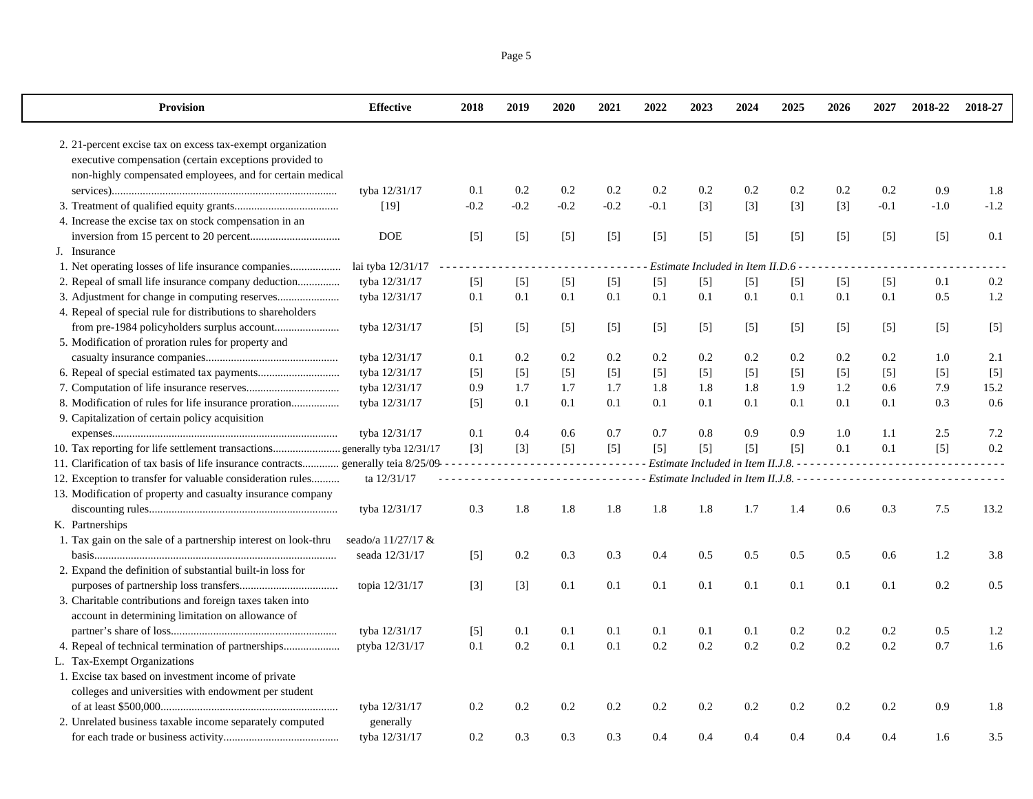| <b>Provision</b>                                                                     | <b>Effective</b>   | 2018              | 2019    | 2020   | 2021          | 2022   | 2023              | 2024                                  | 2025              | 2026  | 2027   | 2018-22 | 2018-27 |
|--------------------------------------------------------------------------------------|--------------------|-------------------|---------|--------|---------------|--------|-------------------|---------------------------------------|-------------------|-------|--------|---------|---------|
| 2. 21-percent excise tax on excess tax-exempt organization                           |                    |                   |         |        |               |        |                   |                                       |                   |       |        |         |         |
| executive compensation (certain exceptions provided to                               |                    |                   |         |        |               |        |                   |                                       |                   |       |        |         |         |
| non-highly compensated employees, and for certain medical                            |                    |                   |         |        |               |        |                   |                                       |                   |       |        |         |         |
|                                                                                      | tyba 12/31/17      | 0.1               | 0.2     | 0.2    | 0.2           | 0.2    | 0.2               | 0.2                                   | 0.2               | 0.2   | 0.2    | 0.9     | 1.8     |
|                                                                                      | [19]               | $-0.2$            | $-0.2$  | $-0.2$ | $-0.2$        | $-0.1$ | $[3]$             | $[3]$                                 | $[3]$             | $[3]$ | $-0.1$ | $-1.0$  | $-1.2$  |
| 4. Increase the excise tax on stock compensation in an                               |                    |                   |         |        |               |        |                   |                                       |                   |       |        |         |         |
|                                                                                      | <b>DOE</b>         | $[5]$             | $[5]$   | $[5]$  | $[5]$         | $[5]$  | $\lceil 5 \rceil$ | $[5]$                                 | $\lceil 5 \rceil$ | $[5]$ | $[5]$  | $[5]$   | 0.1     |
| J. Insurance                                                                         |                    |                   |         |        |               |        |                   |                                       |                   |       |        |         |         |
| 1. Net operating losses of life insurance companies                                  | lai tyba 12/31/17  | د د د د د         |         |        |               |        |                   | Estimate Included in Item II.D.6 -    |                   |       |        |         |         |
| 2. Repeal of small life insurance company deduction                                  | tyba 12/31/17      | $[5]$             | $[5]$   | $[5]$  | $[5]$         | $[5]$  | $[5]$             | $[5]$                                 | $[5]$             | $[5]$ | $[5]$  | 0.1     | 0.2     |
|                                                                                      | tyba 12/31/17      | 0.1               | 0.1     | 0.1    | 0.1           | 0.1    | 0.1               | 0.1                                   | 0.1               | 0.1   | 0.1    | 0.5     | 1.2     |
| 4. Repeal of special rule for distributions to shareholders                          |                    |                   |         |        |               |        |                   |                                       |                   |       |        |         |         |
|                                                                                      | tyba 12/31/17      | $[5]$             | $[5]$   | $[5]$  | $[5]$         | $[5]$  | $[5]$             | $[5]$                                 | $[5]$             | $[5]$ | $[5]$  | $[5]$   | $[5]$   |
| 5. Modification of proration rules for property and                                  |                    |                   |         |        |               |        |                   |                                       |                   |       |        |         |         |
|                                                                                      | tyba 12/31/17      | 0.1               | $0.2\,$ | 0.2    | 0.2           | 0.2    | 0.2               | 0.2                                   | 0.2               | 0.2   | 0.2    | 1.0     | 2.1     |
|                                                                                      | tyba 12/31/17      | $[5]$             | $[5]$   | $[5]$  | $[5]$         | $[5]$  | $[5]$             | $[5]$                                 | $[5]$             | $[5]$ | $[5]$  | $[5]$   | $[5]$   |
|                                                                                      | tyba 12/31/17      | 0.9               | 1.7     | 1.7    | 1.7           | 1.8    | 1.8               | 1.8                                   | 1.9               | 1.2   | 0.6    | 7.9     | 15.2    |
| 8. Modification of rules for life insurance proration                                | tyba 12/31/17      | $\lceil 5 \rceil$ | 0.1     | 0.1    | 0.1           | 0.1    | 0.1               | 0.1                                   | 0.1               | 0.1   | 0.1    | 0.3     | 0.6     |
| 9. Capitalization of certain policy acquisition                                      |                    |                   |         |        |               |        |                   |                                       |                   |       |        |         |         |
|                                                                                      | tyba 12/31/17      | 0.1               | 0.4     | 0.6    | 0.7           | 0.7    | 0.8               | 0.9                                   | 0.9               | 1.0   | 1.1    | 2.5     | 7.2     |
|                                                                                      |                    | $\lceil 3 \rceil$ | $[3]$   | $[5]$  | $[5]$         | $[5]$  | $[5]$             | $[5]$                                 | $[5]$             | 0.1   | 0.1    | $[5]$   | 0.2     |
| 11. Clarification of tax basis of life insurance contracts generally teia 8/25/09--- |                    |                   | .       |        | .             |        |                   | Estimate Included in Item II.J.8. - - |                   |       |        |         |         |
| 12. Exception to transfer for valuable consideration rules                           | ta 12/31/17        |                   |         |        | $\frac{1}{2}$ |        |                   |                                       |                   |       |        |         |         |
| 13. Modification of property and casualty insurance company                          |                    |                   |         |        |               |        |                   |                                       |                   |       |        |         |         |
|                                                                                      | tyba 12/31/17      | 0.3               | 1.8     | 1.8    | 1.8           | 1.8    | 1.8               | 1.7                                   | 1.4               | 0.6   | 0.3    | 7.5     | 13.2    |
| K. Partnerships                                                                      |                    |                   |         |        |               |        |                   |                                       |                   |       |        |         |         |
| 1. Tax gain on the sale of a partnership interest on look-thru                       | seado/a 11/27/17 & |                   |         |        |               |        |                   |                                       |                   |       |        |         |         |
|                                                                                      | seada 12/31/17     | $[5]$             | $0.2\,$ | 0.3    | 0.3           | 0.4    | 0.5               | 0.5                                   | 0.5               | 0.5   | 0.6    | 1.2     | 3.8     |
| 2. Expand the definition of substantial built-in loss for                            |                    |                   |         |        |               |        |                   |                                       |                   |       |        |         |         |
|                                                                                      | topia 12/31/17     | $[3]$             | $[3]$   | 0.1    | 0.1           | 0.1    | 0.1               | 0.1                                   | 0.1               | 0.1   | 0.1    | 0.2     | 0.5     |
| 3. Charitable contributions and foreign taxes taken into                             |                    |                   |         |        |               |        |                   |                                       |                   |       |        |         |         |
| account in determining limitation on allowance of                                    |                    |                   |         |        |               |        |                   |                                       |                   |       |        |         |         |
|                                                                                      | tyba 12/31/17      | $[5]$             | 0.1     | 0.1    | 0.1           | 0.1    | 0.1               | 0.1                                   | 0.2               | 0.2   | 0.2    | 0.5     | 1.2     |
| 4. Repeal of technical termination of partnerships                                   | ptyba 12/31/17     | 0.1               | 0.2     | 0.1    | 0.1           | 0.2    | 0.2               | 0.2                                   | 0.2               | 0.2   | 0.2    | 0.7     | 1.6     |
| L. Tax-Exempt Organizations                                                          |                    |                   |         |        |               |        |                   |                                       |                   |       |        |         |         |
| 1. Excise tax based on investment income of private                                  |                    |                   |         |        |               |        |                   |                                       |                   |       |        |         |         |
| colleges and universities with endowment per student                                 |                    |                   |         |        |               |        |                   |                                       |                   |       |        |         |         |
|                                                                                      | tyba 12/31/17      | 0.2               | 0.2     | 0.2    | 0.2           | 0.2    | 0.2               | 0.2                                   | 0.2               | 0.2   | 0.2    | 0.9     | 1.8     |
| 2. Unrelated business taxable income separately computed                             | generally          |                   |         |        |               |        |                   |                                       |                   |       |        |         |         |
|                                                                                      | tyba 12/31/17      | 0.2               | 0.3     | 0.3    | 0.3           | 0.4    | 0.4               | 0.4                                   | 0.4               | 0.4   | 0.4    | 1.6     | 3.5     |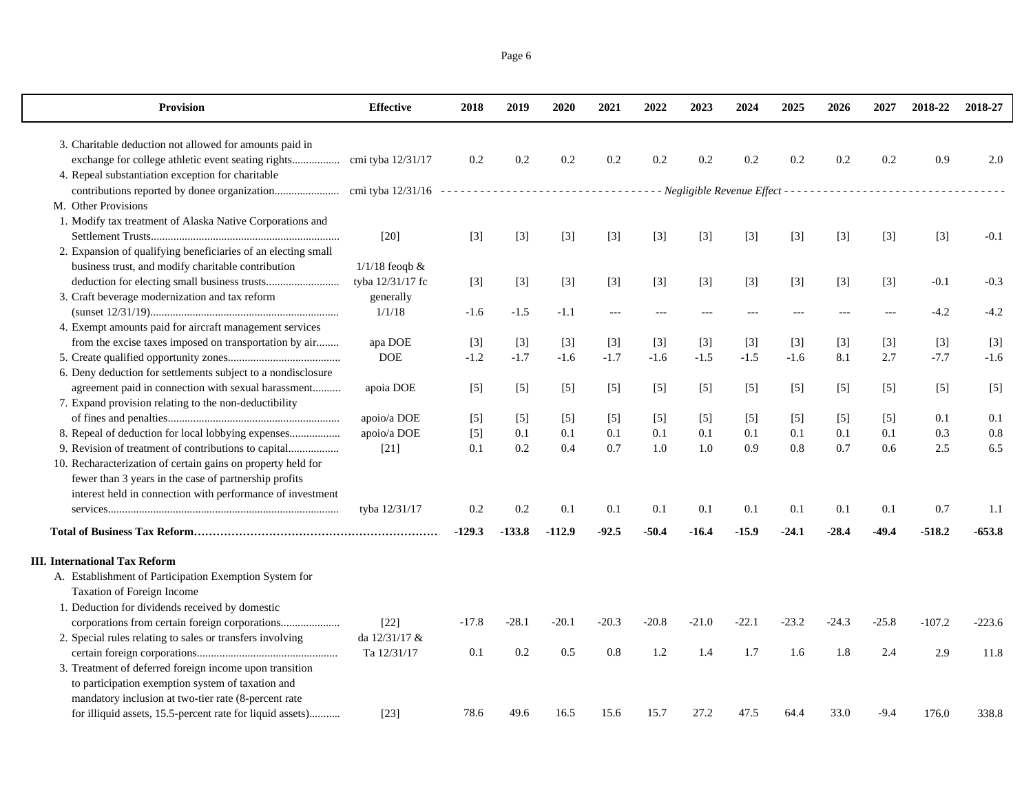| Page 6 |  |
|--------|--|
|        |  |

| <b>Provision</b>                                                                                           | <b>Effective</b>           | 2018         | 2019         | 2020         | 2021         | 2022         | 2023              | 2024              | 2025         | 2026         | 2027              | 2018-22           | 2018-27    |
|------------------------------------------------------------------------------------------------------------|----------------------------|--------------|--------------|--------------|--------------|--------------|-------------------|-------------------|--------------|--------------|-------------------|-------------------|------------|
| 3. Charitable deduction not allowed for amounts paid in                                                    |                            |              |              |              |              |              |                   |                   |              |              |                   |                   |            |
|                                                                                                            |                            | 0.2          | 0.2          | 0.2          | 0.2          | 0.2          | 0.2               | $0.2\,$           | 0.2          | 0.2          | 0.2               | 0.9               | 2.0        |
| 4. Repeal substantiation exception for charitable                                                          |                            |              |              |              |              |              |                   |                   |              |              |                   |                   |            |
|                                                                                                            |                            |              |              |              |              |              |                   |                   |              |              |                   |                   |            |
| M. Other Provisions                                                                                        |                            |              |              |              |              |              |                   |                   |              |              |                   |                   |            |
| 1. Modify tax treatment of Alaska Native Corporations and                                                  |                            |              |              |              |              |              |                   |                   |              |              |                   |                   |            |
|                                                                                                            | $[20]$                     | $[3]$        | $[3]$        | $[3]$        | $[3]$        | $[3]$        | $[3]$             | $[3]$             | $[3]$        | $[3]$        | $[3]$             | $[3]$             | $-0.1$     |
| 2. Expansion of qualifying beneficiaries of an electing small                                              |                            |              |              |              |              |              |                   |                   |              |              |                   |                   |            |
| business trust, and modify charitable contribution                                                         | $1/1/18$ feoqb $&$         |              |              |              |              |              |                   |                   |              |              |                   |                   |            |
|                                                                                                            | tyba 12/31/17 fc           | $[3]$        | $[3]$        | $[3]$        | $[3]$        | $[3]$        | $[3]$             | $[3]$             | $[3]$        | $[3]$        | $[3]$             | $-0.1$            | $-0.3$     |
| 3. Craft beverage modernization and tax reform                                                             | generally                  |              |              |              |              |              |                   |                   |              |              |                   |                   |            |
|                                                                                                            | 1/1/18                     | $-1.6$       | $-1.5$       | $-1.1$       | $---$        |              |                   |                   | $---$        |              |                   | $-4.2$            | $-4.2$     |
| 4. Exempt amounts paid for aircraft management services                                                    |                            |              |              |              |              |              |                   |                   |              |              |                   |                   |            |
| from the excise taxes imposed on transportation by air                                                     | apa DOE                    | $[3]$        | $[3]$        | $[3]$        | $[3]$        | $[3]$        | $\lceil 3 \rceil$ | $[3]$             | $[3]$        | $[3]$        | $[3]$             | $[3]$             | $[3]$      |
|                                                                                                            | $DOE$                      | $-1.2$       | $-1.7$       | $-1.6$       | $-1.7$       | $-1.6$       | $-1.5$            | $-1.5$            | $-1.6$       | 8.1          | 2.7               | $-7.7$            | $-1.6$     |
| 6. Deny deduction for settlements subject to a nondisclosure                                               |                            |              |              |              |              |              |                   |                   |              |              |                   |                   |            |
| agreement paid in connection with sexual harassment                                                        | apoia DOE                  | $[5]$        | $[5]$        | $[5]$        | $[5]$        | $[5]$        | $\lceil 5 \rceil$ | $\lceil 5 \rceil$ | $[5]$        | $[5]$        | $\lceil 5 \rceil$ | $\lceil 5 \rceil$ | $[5]$      |
| 7. Expand provision relating to the non-deductibility                                                      |                            |              |              |              |              |              |                   |                   |              |              |                   |                   |            |
|                                                                                                            | apoio/a DOE<br>apoio/a DOE | $[5]$        | $[5]$<br>0.1 | $[5]$<br>0.1 | $[5]$<br>0.1 | $[5]$<br>0.1 | $[5]$<br>0.1      | $[5]$<br>0.1      | $[5]$<br>0.1 | $[5]$<br>0.1 | $[5]$<br>0.1      | 0.1<br>0.3        | 0.1<br>0.8 |
| 8. Repeal of deduction for local lobbying expenses<br>9. Revision of treatment of contributions to capital |                            | $[5]$<br>0.1 | 0.2          | 0.4          | 0.7          | 1.0          | 1.0               | 0.9               | 0.8          | 0.7          | 0.6               | 2.5               | 6.5        |
| 10. Recharacterization of certain gains on property held for                                               | $[21]$                     |              |              |              |              |              |                   |                   |              |              |                   |                   |            |
| fewer than 3 years in the case of partnership profits                                                      |                            |              |              |              |              |              |                   |                   |              |              |                   |                   |            |
| interest held in connection with performance of investment                                                 |                            |              |              |              |              |              |                   |                   |              |              |                   |                   |            |
|                                                                                                            | tyba 12/31/17              | 0.2          | 0.2          | 0.1          | 0.1          | 0.1          | 0.1               | 0.1               | 0.1          | 0.1          | 0.1               | 0.7               | 1.1        |
|                                                                                                            |                            |              |              |              |              |              |                   |                   |              |              |                   |                   |            |
|                                                                                                            |                            | $-129.3$     | $-133.8$     | $-112.9$     | $-92.5$      | -50.4        | -16.4             | $-15.9$           | $-24.1$      | $-28.4$      | $-49.4$           | $-518.2$          | $-653.8$   |
| <b>III.</b> International Tax Reform                                                                       |                            |              |              |              |              |              |                   |                   |              |              |                   |                   |            |
| A. Establishment of Participation Exemption System for                                                     |                            |              |              |              |              |              |                   |                   |              |              |                   |                   |            |
| Taxation of Foreign Income                                                                                 |                            |              |              |              |              |              |                   |                   |              |              |                   |                   |            |
| 1. Deduction for dividends received by domestic                                                            |                            |              |              |              |              |              |                   |                   |              |              |                   |                   |            |
|                                                                                                            | $[22]$                     | $-17.8$      | $-28.1$      | $-20.1$      | $-20.3$      | -20.8        | $-21.0$           | $-22.1$           | $-23.2$      | $-24.3$      | $-25.8$           | $-107.2$          | $-223.6$   |
| 2. Special rules relating to sales or transfers involving                                                  | da 12/31/17 &              |              |              |              |              |              |                   |                   |              |              |                   |                   |            |
|                                                                                                            | Ta 12/31/17                | 0.1          | 0.2          | 0.5          | 0.8          | 1.2          | 1.4               | 1.7               | 1.6          | 1.8          | 2.4               | 2.9               | 11.8       |
| 3. Treatment of deferred foreign income upon transition                                                    |                            |              |              |              |              |              |                   |                   |              |              |                   |                   |            |
| to participation exemption system of taxation and                                                          |                            |              |              |              |              |              |                   |                   |              |              |                   |                   |            |
| mandatory inclusion at two-tier rate (8-percent rate                                                       |                            |              |              |              |              |              |                   |                   |              |              |                   |                   |            |
| for illiquid assets, 15.5-percent rate for liquid assets)                                                  | $[23]$                     | 78.6         | 49.6         | 16.5         | 15.6         | 15.7         | 27.2              | 47.5              | 64.4         | 33.0         | $-9.4$            | 176.0             | 338.8      |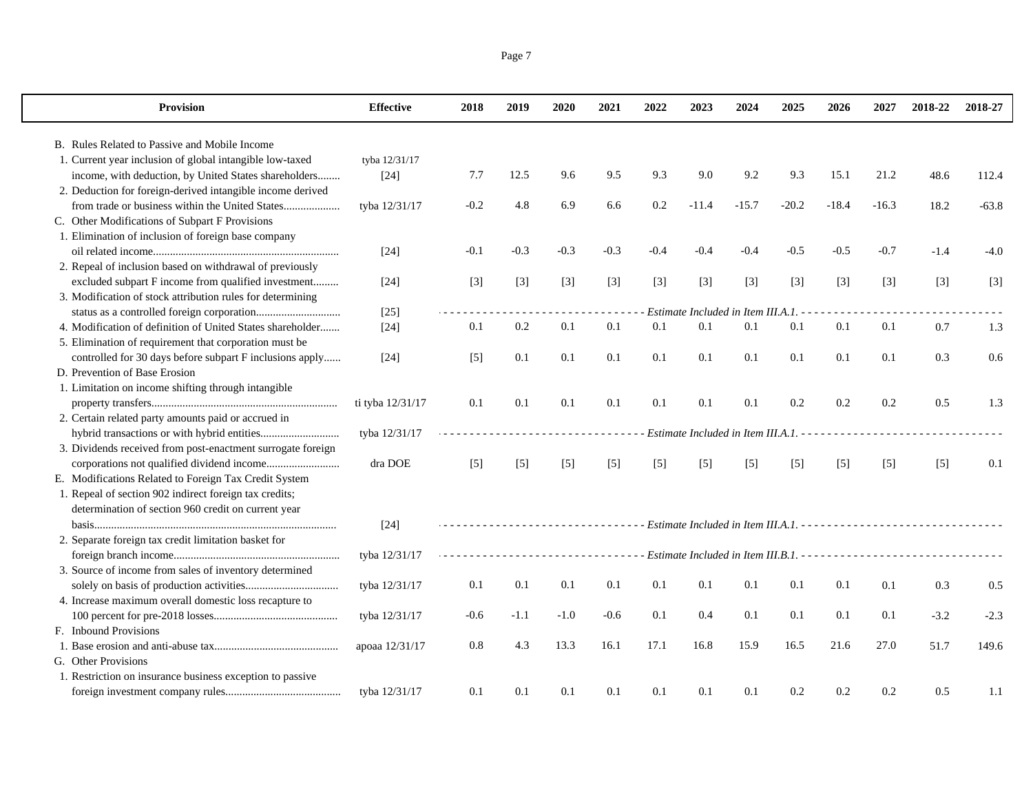| Page 7 |  |
|--------|--|
|        |  |

 $\mathbf{I}$ 

| <b>Provision</b>                                            | <b>Effective</b> | 2018   | 2019   | 2020   | 2021                                                                                                                      | 2022   | 2023    | 2024                                 | 2025    | 2026    | 2027    | 2018-22 | 2018-27 |
|-------------------------------------------------------------|------------------|--------|--------|--------|---------------------------------------------------------------------------------------------------------------------------|--------|---------|--------------------------------------|---------|---------|---------|---------|---------|
| B. Rules Related to Passive and Mobile Income               |                  |        |        |        |                                                                                                                           |        |         |                                      |         |         |         |         |         |
| 1. Current year inclusion of global intangible low-taxed    | tyba 12/31/17    |        |        |        |                                                                                                                           |        |         |                                      |         |         |         |         |         |
| income, with deduction, by United States shareholders       | $[24]$           | 7.7    | 12.5   | 9.6    | 9.5                                                                                                                       | 9.3    | 9.0     | 9.2                                  | 9.3     | 15.1    | 21.2    | 48.6    | 112.4   |
| 2. Deduction for foreign-derived intangible income derived  |                  |        |        |        |                                                                                                                           |        |         |                                      |         |         |         |         |         |
| from trade or business within the United States             | tyba 12/31/17    | $-0.2$ | 4.8    | 6.9    | 6.6                                                                                                                       | 0.2    | $-11.4$ | $-15.7$                              | $-20.2$ | $-18.4$ | $-16.3$ | 18.2    | $-63.8$ |
| C. Other Modifications of Subpart F Provisions              |                  |        |        |        |                                                                                                                           |        |         |                                      |         |         |         |         |         |
| 1. Elimination of inclusion of foreign base company         |                  |        |        |        |                                                                                                                           |        |         |                                      |         |         |         |         |         |
|                                                             | $[24]$           | $-0.1$ | $-0.3$ | $-0.3$ | $-0.3$                                                                                                                    | $-0.4$ | $-0.4$  | $-0.4$                               | $-0.5$  | $-0.5$  | $-0.7$  | $-1.4$  | $-4.0$  |
| 2. Repeal of inclusion based on withdrawal of previously    |                  |        |        |        |                                                                                                                           |        |         |                                      |         |         |         |         |         |
| excluded subpart F income from qualified investment         | $[24]$           | $[3]$  | $[3]$  | $[3]$  | $[3]$                                                                                                                     | $[3]$  | $[3]$   | $[3]$                                | $[3]$   | $[3]$   | $[3]$   | $[3]$   | $[3]$   |
| 3. Modification of stock attribution rules for determining  |                  |        |        |        |                                                                                                                           |        |         |                                      |         |         |         |         |         |
|                                                             | $[25]$           |        |        |        |                                                                                                                           |        |         | Estimate Included in Item III.A.1. - |         |         |         |         |         |
| 4. Modification of definition of United States shareholder  | $[24]$           | 0.1    | 0.2    | 0.1    | 0.1                                                                                                                       | 0.1    | 0.1     | 0.1                                  | 0.1     | 0.1     | 0.1     | 0.7     | 1.3     |
| 5. Elimination of requirement that corporation must be      |                  |        |        |        |                                                                                                                           |        |         |                                      |         |         |         |         |         |
| controlled for 30 days before subpart F inclusions apply    | $[24]$           | $[5]$  | 0.1    | 0.1    | 0.1                                                                                                                       | 0.1    | 0.1     | 0.1                                  | 0.1     | 0.1     | 0.1     | 0.3     | 0.6     |
| D. Prevention of Base Erosion                               |                  |        |        |        |                                                                                                                           |        |         |                                      |         |         |         |         |         |
| 1. Limitation on income shifting through intangible         |                  |        |        |        |                                                                                                                           |        |         |                                      |         |         |         |         |         |
|                                                             | ti tyba 12/31/17 | 0.1    | 0.1    | 0.1    | 0.1                                                                                                                       | 0.1    | 0.1     | 0.1                                  | 0.2     | 0.2     | 0.2     | 0.5     | 1.3     |
| 2. Certain related party amounts paid or accrued in         |                  |        |        |        |                                                                                                                           |        |         |                                      |         |         |         |         |         |
|                                                             | tyba 12/31/17    |        |        |        | $\frac{1}{2} \left( \frac{1}{2} \right) \left( \frac{1}{2} \right) \left( \frac{1}{2} \right) \left( \frac{1}{2} \right)$ |        |         | Estimate Included in Item III.A.1. - |         |         |         |         |         |
| 3. Dividends received from post-enactment surrogate foreign |                  |        |        |        |                                                                                                                           |        |         |                                      |         |         |         |         |         |
|                                                             | $\rm{dra}$ DOE   | $[5]$  | $[5]$  | $[5]$  | $[5]$                                                                                                                     | $[5]$  | $[5]$   | $[5]$                                | $[5]$   | $[5]$   | $[5]$   | $[5]$   | 0.1     |
| E. Modifications Related to Foreign Tax Credit System       |                  |        |        |        |                                                                                                                           |        |         |                                      |         |         |         |         |         |
| 1. Repeal of section 902 indirect foreign tax credits;      |                  |        |        |        |                                                                                                                           |        |         |                                      |         |         |         |         |         |
| determination of section 960 credit on current year         |                  |        |        |        |                                                                                                                           |        |         |                                      |         |         |         |         |         |
|                                                             | $[24]$           |        |        | .      |                                                                                                                           |        |         |                                      |         |         |         |         |         |
| 2. Separate foreign tax credit limitation basket for        |                  |        |        |        |                                                                                                                           |        |         |                                      |         |         |         |         |         |
|                                                             | tyba 12/31/17    |        |        |        |                                                                                                                           |        |         |                                      |         |         |         |         |         |
| 3. Source of income from sales of inventory determined      |                  |        |        |        |                                                                                                                           |        |         |                                      |         |         |         |         |         |
|                                                             | tyba 12/31/17    | 0.1    | 0.1    | 0.1    | 0.1                                                                                                                       | 0.1    | 0.1     | 0.1                                  | 0.1     | 0.1     | 0.1     | 0.3     | 0.5     |
| 4. Increase maximum overall domestic loss recapture to      |                  |        |        |        |                                                                                                                           |        |         |                                      |         |         |         |         |         |
|                                                             | tyba 12/31/17    | $-0.6$ | $-1.1$ | $-1.0$ | $-0.6$                                                                                                                    | 0.1    | 0.4     | 0.1                                  | 0.1     | 0.1     | 0.1     | $-3.2$  | $-2.3$  |
| F. Inbound Provisions                                       |                  |        |        |        |                                                                                                                           |        |         |                                      |         |         |         |         |         |
|                                                             | apoaa 12/31/17   | 0.8    | 4.3    | 13.3   | 16.1                                                                                                                      | 17.1   | 16.8    | 15.9                                 | 16.5    | 21.6    | 27.0    | 51.7    | 149.6   |
| G. Other Provisions                                         |                  |        |        |        |                                                                                                                           |        |         |                                      |         |         |         |         |         |
| 1. Restriction on insurance business exception to passive   |                  |        |        |        |                                                                                                                           |        |         |                                      |         |         |         |         |         |
|                                                             | tyba 12/31/17    | 0.1    | 0.1    | 0.1    | 0.1                                                                                                                       | 0.1    | 0.1     | 0.1                                  | 0.2     | 0.2     | 0.2     | 0.5     | 1.1     |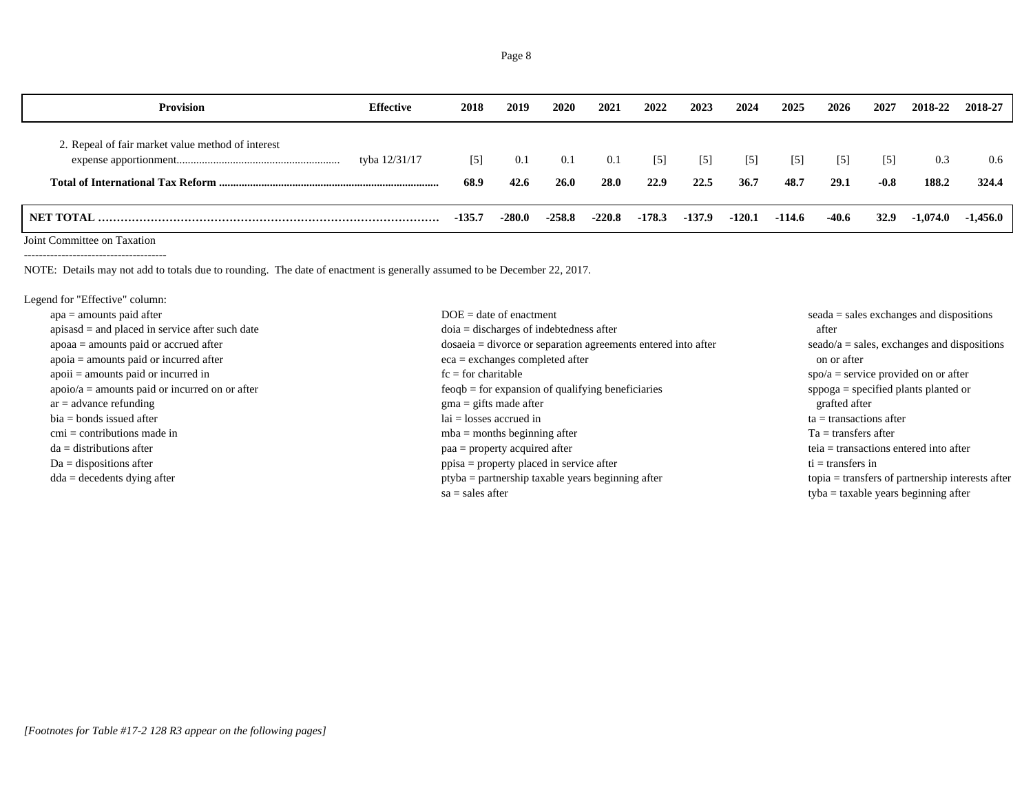| <b>Provision</b>                                  | <b>Effective</b> | 2018          | 2019        | 2020               | 2021               | 2022          | 2023                      | 2024                      | 2025        | 2026                     | 2027                        | 2018-22      | 2018-27      |
|---------------------------------------------------|------------------|---------------|-------------|--------------------|--------------------|---------------|---------------------------|---------------------------|-------------|--------------------------|-----------------------------|--------------|--------------|
| 2. Repeal of fair market value method of interest | tyba 12/31/17    | $[5]$<br>68.9 | 0.1<br>42.6 | 0.1<br><b>26.0</b> | 0.1<br><b>28.0</b> | $[5]$<br>22.9 | $\lceil 5 \rceil$<br>22.5 | $\lceil 5 \rceil$<br>36.7 | [5]<br>48.7 | $\left[5\right]$<br>29.1 | $\lceil 5 \rceil$<br>$-0.8$ | 0.3<br>188.2 | 0.6<br>324.4 |
| NET TOTAL                                         |                  | $-135.7$      | $-280.0$    | $-258.8$           | $-220.8$           | $-178.3$      | $-137.9$                  | $-120.1$                  | -114.6      | $-40.6$                  | <b>32.9</b>                 | $-1,074.0$   | -1.456.0     |

Joint Committee on Taxation

--------------------------------------

NOTE: Details may not add to totals due to rounding. The date of enactment is generally assumed to be December 22, 2017.

Legend for "Effective" column:

| $apa = amounts paid after$                        | $DOE = date of enactment$                                       | $seada = sales$ exchanges and dispositions                |
|---------------------------------------------------|-----------------------------------------------------------------|-----------------------------------------------------------|
| $apisasd = and placed in service after such date$ | $doia = discharges of indebtedness after$                       | after                                                     |
| $apoaa = amounts$ paid or accrued after           | $dosaeia = divoreo$ or separation agreements entered into after | $seado/a = sales$ , exchanges and dispositions            |
| $apoia = amounts paid or incurred after$          | $eca =$ exchanges completed after                               | on or after                                               |
| $apoii = amounts paid or incurred in$             | $fc = for$ charitable                                           | $spo/a =$ service provided on or after                    |
| $apoio/a = amounts$ paid or incurred on or after  | $feogb = for expansion of qualifying benefits$                  | $\text{sppoga} = \text{specified plants planted or}$      |
| $ar = advance$ refunding                          | $\text{g}$ ma = gifts made after                                | grafted after                                             |
| $bia = bonds$ issued after                        | $lai = losses$ accrued in                                       | $ta =$ transactions after                                 |
| $cmi =$ contributions made in                     | $mba =$ months beginning after                                  | $Ta =$ transfers after                                    |
| $da =$ distributions after                        | $paa = property acquired after$                                 | $teia = transactions$ entered into after                  |
| $Da =$ dispositions after                         | ppisa = property placed in service after                        | $ti =$ transfers in                                       |
| $dda = decedents$ dying after                     | $ptyba = partnership taxable years beginning after$             | $topia = \text{transfers of partnership interests after}$ |
|                                                   | $sa = sales after$                                              | $t$ <sub>v</sub> ba = taxable years beginning after       |
|                                                   |                                                                 |                                                           |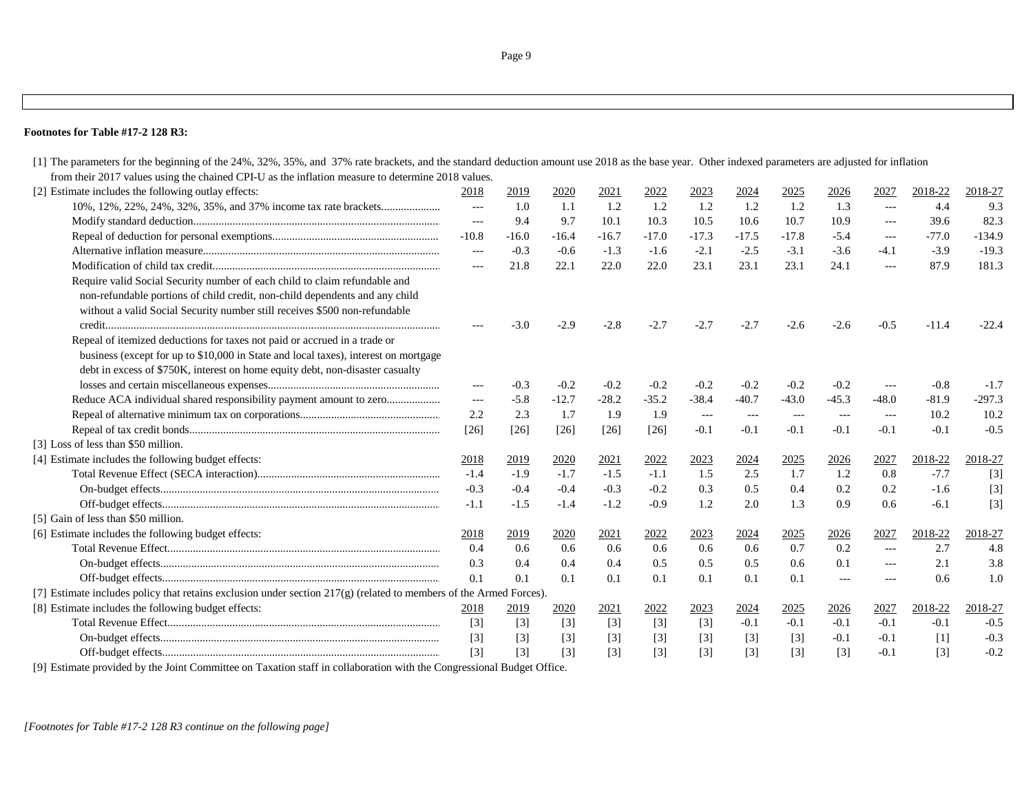[1] The parameters for the beginning of the 24%, 32%, 35%, and 37% rate brackets, and the standard deduction amount use 2018 as the base year. Other indexed parameters are adjusted for inflation from their 2017 values using the chained CPI-U as the inflation measure to determine 2018 values. [2] Estimate includes the following outlay effects: 2018 2018 2019 2020 2021 2022 2023 2024 2025 2026 2027 2018-22 2018-27 10%, 12%, 22%, 24%, 32%, 35%, and 37% income tax rate brackets..................... --- 1.0 1.1 1.2 1.2 1.2 1.2 1.2 1.3 --- 4.4 9.3 Modify standard deduction........................................................................................ --- 9.4 9.7 10.1 10.3 10.5 10.6 10.7 10.9 --- 39.6 82.3 Repeal of deduction for personal exemptions........................................................... -10.8 -16.0 -16.4 -16.7 -17.0 -17.3 -17.5 -17.8 -5.4 --- -77.0 -134.9 Alternative inflation measure.................................................................................... --- -0.3 -0.6 -1.3 -1.6 -2.1 -2.5 -3.1 -3.6 -4.1 -3.9 -19.3Modification of child tax credit................................................................................. --- 21.8 22.1 22.0 22.0 23.1 23.1 23.1 24.1 --- 87.9 181.3Require valid Social Security number of each child to claim refundable and non-refundable portions of child credit, non-child dependents and any child without a valid Social Security number still receives \$500 non-refundable credit....................................................................................................................... --- -3.0 -2.9 -2.8 -2.7 -2.7 -2.7 -2.6 -2.6 -0.5 -11.4 -22.4Repeal of itemized deductions for taxes not paid or accrued in a trade or business (except for up to \$10,000 in State and local taxes), interest on mortgage debt in excess of \$750K, interest on home equity debt, non-disaster casualty losses and certain miscellaneous expenses............................................................. --- -0.3 -0.2 -0.2 -0.2 -0.2 -0.2 -0.2 -0.2 --- -0.8 -1.7 Reduce ACA individual shared responsibility payment amount to zero................... --- -5.8 -12.7 -28.2 -35.2 -38.4 -40.7 -43.0 -45.3 -48.0 -81.9 -297.3 Repeal of alternative minimum tax on corporations.................................................. 2.2 2.3 1.7 1.9 1.9 --- --- --- --- --- 10.2 10.2 Repeal of tax credit bonds......................................................................................... [26] [26] [26] [26] [26] -0.1 -0.1 -0.1 -0.1 -0.1 -0.1 -0.5 [3] Loss of less than \$50 million. [4] Estimate includes the following budget effects: 2018 2018 2019 2020 2021 2022 2023 2024 2025 2026 2027 2018-22 2018-27 Total Revenue Effect (SECA interaction)................................................................. -1.4 -1.9 -1.7 -1.5 -1.1 1.5 2.5 1.7 1.2 0.8 -7.7 [3] On-budget effects................................................................................................... -0.3 -0.4 -0.4 -0.3 -0.2 0.3 0.5 0.4 0.2 0.2 -1.6 [3] Off-budget effects................................................................................................... -1.1 -1.5 -1.4 -1.2 -0.9 1.2 2.0 1.3 0.9 0.6 -6.1 [3] [5] Gain of less than \$50 million. [6] Estimate includes the following budget effects: 2018 2019 2020 2021 2022 2023 2024 2025 2026 2027 2018-22 2018-27 Total Revenue Effect................................................................................................. 0.4 0.6 0.6 0.6 0.6 0.6 0.6 0.7 0.2 --- 2.7 4.8On-budget effects................................................................................................... 0.3 0.4 0.4 0.4 0.5 0.5 0.5 0.6 0.1 --- 2.1 3.8 Off-budget effects................................................................................................... 0.1 0.1 0.1 0.1 0.1 0.1 0.1 0.1 --- --- 0.6 1.0 [7] Estimate includes policy that retains exclusion under section 217(g) (related to members of the Armed Forces). [8] Estimate includes the following budget effects: 2018 2019 2020 2021 2022 2023 2024 2025 2026 2027 2018-22 2018-27 Total Revenue Effect................................................................................................. [3] [3] [3] [3] [3] [3] -0.1 -0.1 -0.1 -0.1 -0.1 -0.5 On-budget effects................................................................................................... [3] [3] [3] [3] [3] [3] [3] [3] -0.1 -0.1 [1] -0.3 Off-budget effects................................................................................................... [3] [3] [3] [3] [3] [3] [3] [3] [3] -0.1 [3] -0.2

[9] Estimate provided by the Joint Committee on Taxation staff in collaboration with the Congressional Budget Office.